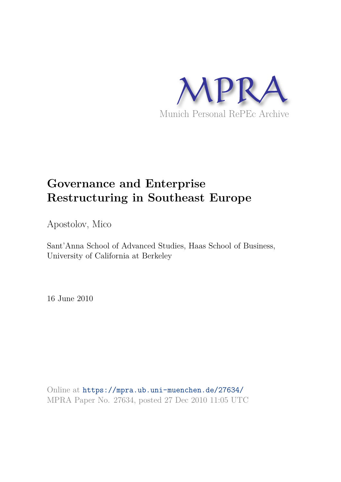

# **Governance and Enterprise Restructuring in Southeast Europe**

Apostolov, Mico

Sant'Anna School of Advanced Studies, Haas School of Business, University of California at Berkeley

16 June 2010

Online at https://mpra.ub.uni-muenchen.de/27634/ MPRA Paper No. 27634, posted 27 Dec 2010 11:05 UTC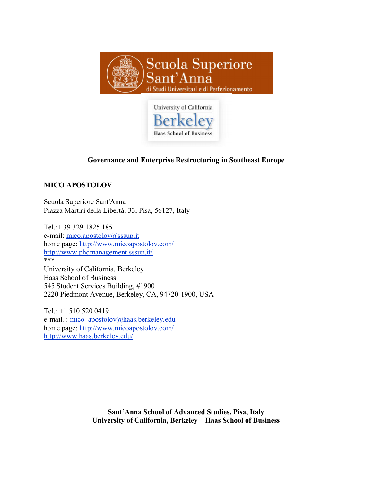



## **Governance and Enterprise Restructuring in Southeast Europe**

### **MICO APOSTOLOV**

Scuola Superiore Sant'Anna Piazza Martiri della Libertà, 33, Pisa, 56127, Italy

Tel.:+ 39 329 1825 185 e-mail: mico.apostolov@sssup.it home page: http://www.micoapostolov.com/ http://www.phdmanagement.sssup.it/ \*\*\* University of California, Berkeley Haas School of Business 545 Student Services Building, #1900 2220 Piedmont Avenue, Berkeley, CA, 94720-1900, USA

Tel.: +1 510 520 0419 e-mail. : mico\_apostolov@haas.berkeley.edu home page: http://www.micoapostolov.com/ http://www.haas.berkeley.edu/

> **Sant'Anna School of Advanced Studies, Pisa, Italy University of California, Berkeley – Haas School of Business**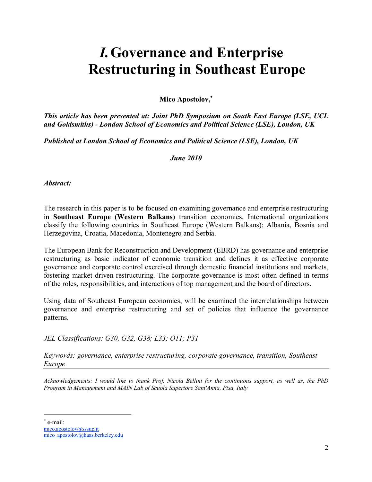# *I.***Governance and Enterprise Restructuring in Southeast Europe**

**Mico Apostolov,**

*This article has been presented at: Joint PhD Symposium on South East Europe (LSE, UCL and Goldsmiths) - London School of Economics and Political Science (LSE), London, UK* 

*Published at London School of Economics and Political Science (LSE), London, UK*

*June 2010* 

*Abstract:* 

The research in this paper is to be focused on examining governance and enterprise restructuring in **Southeast Europe (Western Balkans)** transition economies. International organizations classify the following countries in Southeast Europe (Western Balkans): Albania, Bosnia and Herzegovina, Croatia, Macedonia, Montenegro and Serbia.

The European Bank for Reconstruction and Development (EBRD) has governance and enterprise restructuring as basic indicator of economic transition and defines it as effective corporate governance and corporate control exercised through domestic financial institutions and markets, fostering market-driven restructuring. The corporate governance is most often defined in terms of the roles, responsibilities, and interactions of top management and the board of directors.

Using data of Southeast European economies, will be examined the interrelationships between governance and enterprise restructuring and set of policies that influence the governance patterns.

*JEL Classifications: G30, G32, G38; L33; O11; P31* 

*Keywords: governance, enterprise restructuring, corporate governance, transition, Southeast Europe* 

*Acknowledgements: I would like to thank Prof. Nicola Bellini for the continuous support, as well as, the PhD Program in Management and MAIN Lab of Scuola Superiore Sant'Anna, Pisa, Italy*

× e-mail: mico.apostolov@sssup.it mico\_apostolov@haas.berkeley.edu

-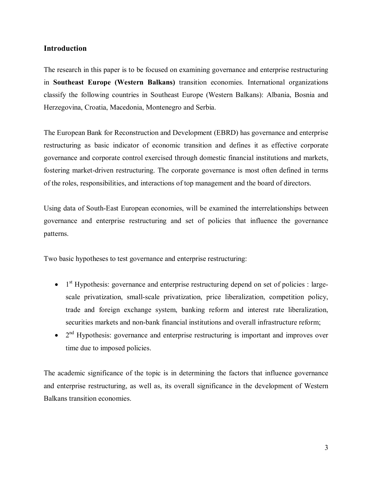### **Introduction**

The research in this paper is to be focused on examining governance and enterprise restructuring in **Southeast Europe (Western Balkans)** transition economies. International organizations classify the following countries in Southeast Europe (Western Balkans): Albania, Bosnia and Herzegovina, Croatia, Macedonia, Montenegro and Serbia.

The European Bank for Reconstruction and Development (EBRD) has governance and enterprise restructuring as basic indicator of economic transition and defines it as effective corporate governance and corporate control exercised through domestic financial institutions and markets, fostering market-driven restructuring. The corporate governance is most often defined in terms of the roles, responsibilities, and interactions of top management and the board of directors.

Using data of South-East European economies, will be examined the interrelationships between governance and enterprise restructuring and set of policies that influence the governance patterns.

Two basic hypotheses to test governance and enterprise restructuring:

- $\bullet$  1<sup>st</sup> Hypothesis: governance and enterprise restructuring depend on set of policies : largescale privatization, small-scale privatization, price liberalization, competition policy, trade and foreign exchange system, banking reform and interest rate liberalization, securities markets and non-bank financial institutions and overall infrastructure reform;
- $\bullet$   $2<sup>nd</sup>$  Hypothesis: governance and enterprise restructuring is important and improves over time due to imposed policies.

The academic significance of the topic is in determining the factors that influence governance and enterprise restructuring, as well as, its overall significance in the development of Western Balkans transition economies.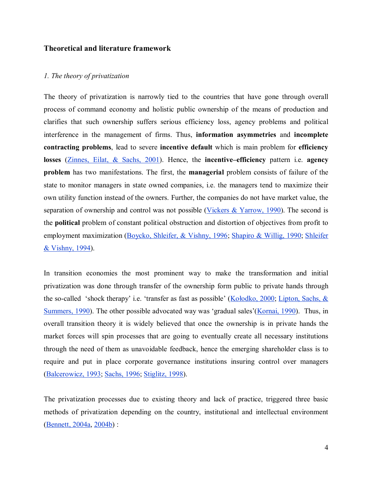### **Theoretical and literature framework**

#### *1. The theory of privatization*

The theory of privatization is narrowly tied to the countries that have gone through overall process of command economy and holistic public ownership of the means of production and clarifies that such ownership suffers serious efficiency loss, agency problems and political interference in the management of firms. Thus, **information asymmetries** and **incomplete contracting problems**, lead to severe **incentive default** which is main problem for **efficiency losses** (Zinnes, Eilat, & Sachs, 2001). Hence, the **incentive–efficiency** pattern i.e. **agency problem** has two manifestations. The first, the **managerial** problem consists of failure of the state to monitor managers in state owned companies, i.e. the managers tend to maximize their own utility function instead of the owners. Further, the companies do not have market value, the separation of ownership and control was not possible (Vickers  $&$  Yarrow, 1990). The second is the **political** problem of constant political obstruction and distortion of objectives from profit to employment maximization (Boycko, Shleifer, & Vishny, 1996; Shapiro & Willig, 1990; Shleifer & Vishny, 1994).

In transition economies the most prominent way to make the transformation and initial privatization was done through transfer of the ownership form public to private hands through the so-called 'shock therapy' i.e. 'transfer as fast as possible' (Kołodko, 2000; Lipton, Sachs, & Summers, 1990). The other possible advocated way was 'gradual sales'(Kornai, 1990). Thus, in overall transition theory it is widely believed that once the ownership is in private hands the market forces will spin processes that are going to eventually create all necessary institutions through the need of them as unavoidable feedback, hence the emerging shareholder class is to require and put in place corporate governance institutions insuring control over managers (Balcerowicz, 1993; Sachs, 1996; Stiglitz, 1998).

The privatization processes due to existing theory and lack of practice, triggered three basic methods of privatization depending on the country, institutional and intellectual environment (Bennett, 2004a, 2004b) :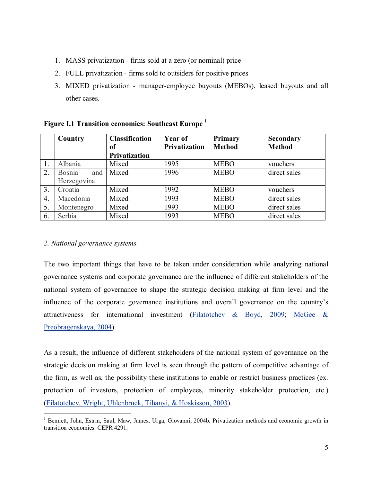- 1. MASS privatization firms sold at a zero (or nominal) price
- 2. FULL privatization firms sold to outsiders for positive prices
- 3. MIXED privatization manager-employee buyouts (MEBOs), leased buyouts and all other cases.

|    | Country              | <b>Classification</b> | Year of              | Primary       | Secondary     |
|----|----------------------|-----------------------|----------------------|---------------|---------------|
|    |                      | of                    | <b>Privatization</b> | <b>Method</b> | <b>Method</b> |
|    |                      | <b>Privatization</b>  |                      |               |               |
|    | Albania              | Mixed                 | 1995                 | <b>MEBO</b>   | vouchers      |
| 2. | <b>Bosnia</b><br>and | Mixed                 | 1996                 | <b>MEBO</b>   | direct sales  |
|    | Herzegovina          |                       |                      |               |               |
| 3. | Croatia              | Mixed                 | 1992                 | <b>MEBO</b>   | vouchers      |
| 4. | Macedonia            | Mixed                 | 1993                 | <b>MEBO</b>   | direct sales  |
| 5. | Montenegro           | Mixed                 | 1993                 | <b>MEBO</b>   | direct sales  |
| 6. | Serbia               | Mixed                 | 1993                 | <b>MEBO</b>   | direct sales  |

### **Figure I.1 Transition economies: Southeast Europe <sup>1</sup>**

### *2. National governance systems*

The two important things that have to be taken under consideration while analyzing national governance systems and corporate governance are the influence of different stakeholders of the national system of governance to shape the strategic decision making at firm level and the influence of the corporate governance institutions and overall governance on the country's attractiveness for international investment (Filatotchev & Boyd, 2009; McGee & Preobragenskaya, 2004).

As a result, the influence of different stakeholders of the national system of governance on the strategic decision making at firm level is seen through the pattern of competitive advantage of the firm, as well as, the possibility these institutions to enable or restrict business practices (ex. protection of investors, protection of employees, minority stakeholder protection, etc.) (Filatotchev, Wright, Uhlenbruck, Tihanyi, & Hoskisson, 2003).

 $\overline{a}$ <sup>1</sup> Bennett, John, Estrin, Saul, Maw, James, Urga, Giovanni, 2004b. Privatization methods and economic growth in transition economies. CEPR 4291.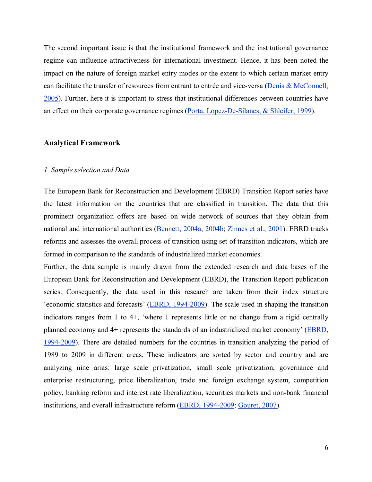The second important issue is that the institutional framework and the institutional governance regime can influence attractiveness for international investment. Hence, it has been noted the impact on the nature of foreign market entry modes or the extent to which certain market entry can facilitate the transfer of resources from entrant to entrée and vice-versa (Denis & McConnell, 2005). Further, here it is important to stress that institutional differences between countries have an effect on their corporate governance regimes (Porta, Lopez-De-Silanes, & Shleifer, 1999).

### **Analytical Framework**

#### *1. Sample selection and Data*

The European Bank for Reconstruction and Development (EBRD) Transition Report series have the latest information on the countries that are classified in transition. The data that this prominent organization offers are based on wide network of sources that they obtain from national and international authorities (Bennett, 2004a, 2004b; Zinnes et al., 2001). EBRD tracks reforms and assesses the overall process of transition using set of transition indicators, which are formed in comparison to the standards of industrialized market economies.

Further, the data sample is mainly drawn from the extended research and data bases of the European Bank for Reconstruction and Development (EBRD), the Transition Report publication series. Consequently, the data used in this research are taken from their index structure 'economic statistics and forecasts' (EBRD, 1994-2009). The scale used in shaping the transition indicators ranges from 1 to 4+, 'where 1 represents little or no change from a rigid centrally planned economy and 4+ represents the standards of an industrialized market economy' (EBRD, 1994-2009). There are detailed numbers for the countries in transition analyzing the period of 1989 to 2009 in different areas. These indicators are sorted by sector and country and are analyzing nine arias: large scale privatization, small scale privatization, governance and enterprise restructuring, price liberalization, trade and foreign exchange system, competition policy, banking reform and interest rate liberalization, securities markets and non-bank financial institutions, and overall infrastructure reform (EBRD, 1994-2009; Gouret, 2007).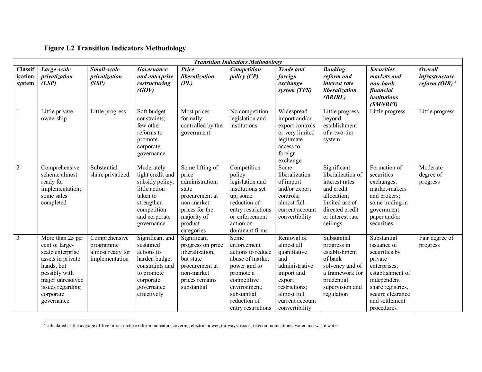# **Figure I.2 Transition Indicators Methodology**

| <b>Transition Indicators Methodology</b> |                                                                                                                                                                               |                                                                  |                                                                                                                                            |                                                                                                                                                |                                                                                                                                                                              |                                                                                                                                                                |                                                                                                                                                      |                                                                                                                                                                                    |                                                      |  |  |  |
|------------------------------------------|-------------------------------------------------------------------------------------------------------------------------------------------------------------------------------|------------------------------------------------------------------|--------------------------------------------------------------------------------------------------------------------------------------------|------------------------------------------------------------------------------------------------------------------------------------------------|------------------------------------------------------------------------------------------------------------------------------------------------------------------------------|----------------------------------------------------------------------------------------------------------------------------------------------------------------|------------------------------------------------------------------------------------------------------------------------------------------------------|------------------------------------------------------------------------------------------------------------------------------------------------------------------------------------|------------------------------------------------------|--|--|--|
| <b>Classif</b><br>ication<br>system      | Large-scale<br>privatization<br>(LSP)                                                                                                                                         | Small-scale<br>privatization<br>(SSP)                            | Governance<br>and enterprise<br>restructuring<br>(GOV)                                                                                     | Price<br>liberalization<br>(PL)                                                                                                                | Competition<br><i>policy (CP)</i>                                                                                                                                            | <b>Trade and</b><br>foreign<br>exchange<br>system (TFS)                                                                                                        | <b>Banking</b><br>reform and<br>interest rate<br>liberalization<br>(BRIRL)                                                                           | <b>Securities</b><br>markets and<br>non-bank<br>financial<br><i>institutions</i><br>(SMNBFI)                                                                                       | <b>Overall</b><br>infrastructure<br>reform $(OIR)^2$ |  |  |  |
|                                          | Little private<br>ownership                                                                                                                                                   | Little progress                                                  | Soft budget<br>constraints;<br>few other<br>reforms to<br>promote<br>corporate<br>governance                                               | Most prices<br>formally<br>controlled by the<br>government                                                                                     | No competition<br>legislation and<br>institutions                                                                                                                            | Widespread<br>import and/or<br>export controls<br>or very limited<br>legitimate<br>access to<br>foreign<br>exchange                                            | Little progress<br>beyond<br>establishment<br>of a two-tier<br>system                                                                                | Little progress                                                                                                                                                                    | Little progress                                      |  |  |  |
| 2                                        | Comprehensive<br>scheme almost<br>ready for<br>implementation;<br>some sales<br>completed                                                                                     | Substantial<br>share privatized                                  | Moderately<br>tight credit and<br>subsidy policy;<br>little action<br>taken to<br>strengthen<br>competition<br>and corporate<br>governance | Some lifting of<br>price<br>administration;<br>state<br>procurement at<br>non-market<br>prices for the<br>majority of<br>product<br>categories | Competition<br>policy<br>legislation and<br>institutions set<br>up; some<br>reduction of<br>entry restrictions<br>or enforcement<br>action on<br>dominant firms              | Some<br>liberalization<br>of import<br>and/or export<br>controls;<br>almost full<br>current account<br>convertibility                                          | Significant<br>liberalization of<br>interest rates<br>and credit<br>allocation;<br>limited use of<br>directed credit<br>or interest rate<br>ceilings | Formation of<br>securities<br>exchanges,<br>market-makers<br>and brokers;<br>some trading in<br>government<br>paper and/or<br>securities                                           | Moderate<br>degree of<br>progress                    |  |  |  |
| 3                                        | More than 25 per<br>cent of large-<br>scale enterprise<br>assets in private<br>hands, but<br>possibly with<br>major unresolved<br>issues regarding<br>corporate<br>governance | Comprehensive<br>programme<br>almost ready for<br>implementation | Significant and<br>sustained<br>actions to<br>harden budget<br>constraints and<br>to promote<br>corporate<br>governance<br>effectively     | Significant<br>progress on price<br>liberalization,<br>but state<br>procurement at<br>non-market<br>prices remains<br>substantial              | Some<br>enforcement<br>actions to reduce<br>abuse of market<br>power and to<br>promote a<br>competitive<br>environment;<br>substantial<br>reduction of<br>entry restrictions | Removal of<br>almost all<br>quantitative<br>and<br>administrative<br>import and<br>export<br>restrictions;<br>almost full<br>current account<br>convertibility | Substantial<br>progress in<br>establishment<br>of bank<br>solvency and of<br>a framework for<br>prudential<br>supervision and<br>regulation          | Substantial<br>issuance of<br>securities by<br>private<br>enterprises;<br>establishment of<br>independent<br>share registries,<br>secure clearance<br>and settlement<br>procedures | Fair degree of<br>progress                           |  |  |  |

 2 calculated as the average of five infrastructure reform indicators covering electric power, railways, roads, telecommunications, water and waste water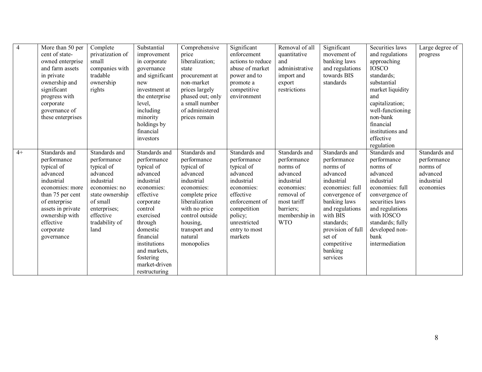| $\overline{4}$ | More than 50 per<br>cent of state-<br>owned enterprise<br>and farm assets<br>in private<br>ownership and<br>significant<br>progress with<br>corporate<br>governance of<br>these enterprises                 | Complete<br>privatization of<br>small<br>companies with<br>tradable<br>ownership<br>rights                                                                                  | Substantial<br>improvement<br>in corporate<br>governance<br>and significant<br>new<br>investment at<br>the enterprise<br>level,<br>including<br>minority<br>holdings by<br>financial<br>investors                                                       | Comprehensive<br>price<br>liberalization;<br>state<br>procurement at<br>non-market<br>prices largely<br>phased out; only<br>a small number<br>of administered<br>prices remain                                   | Significant<br>enforcement<br>actions to reduce<br>abuse of market<br>power and to<br>promote a<br>competitive<br>environment                                                           | Removal of all<br>quantitative<br>and<br>administrative<br>import and<br>export<br>restrictions                                                           | Significant<br>movement of<br>banking laws<br>and regulations<br>towards BIS<br>standards                                                                                                                                                 | Securities laws<br>and regulations<br>approaching<br><b>IOSCO</b><br>standards;<br>substantial<br>market liquidity<br>and<br>capitalization;<br>well-functioning<br>non-bank<br>financial<br>institutions and<br>effective<br>regulation | Large degree of<br>progress                                                     |
|----------------|-------------------------------------------------------------------------------------------------------------------------------------------------------------------------------------------------------------|-----------------------------------------------------------------------------------------------------------------------------------------------------------------------------|---------------------------------------------------------------------------------------------------------------------------------------------------------------------------------------------------------------------------------------------------------|------------------------------------------------------------------------------------------------------------------------------------------------------------------------------------------------------------------|-----------------------------------------------------------------------------------------------------------------------------------------------------------------------------------------|-----------------------------------------------------------------------------------------------------------------------------------------------------------|-------------------------------------------------------------------------------------------------------------------------------------------------------------------------------------------------------------------------------------------|------------------------------------------------------------------------------------------------------------------------------------------------------------------------------------------------------------------------------------------|---------------------------------------------------------------------------------|
| $4+$           | Standards and<br>performance<br>typical of<br>advanced<br>industrial<br>economies: more<br>than 75 per cent<br>of enterprise<br>assets in private<br>ownership with<br>effective<br>corporate<br>governance | Standards and<br>performance<br>typical of<br>advanced<br>industrial<br>economies: no<br>state ownership<br>of small<br>enterprises;<br>effective<br>tradability of<br>land | Standards and<br>performance<br>typical of<br>advanced<br>industrial<br>economies:<br>effective<br>corporate<br>control<br>exercised<br>through<br>domestic<br>financial<br>institutions<br>and markets,<br>fostering<br>market-driven<br>restructuring | Standards and<br>performance<br>typical of<br>advanced<br>industrial<br>economies:<br>complete price<br>liberalization<br>with no price<br>control outside<br>housing,<br>transport and<br>natural<br>monopolies | Standards and<br>performance<br>typical of<br>advanced<br>industrial<br>economies:<br>effective<br>enforcement of<br>competition<br>policy;<br>unrestricted<br>entry to most<br>markets | Standards and<br>performance<br>norms of<br>advanced<br>industrial<br>economies:<br>removal of<br>most tariff<br>barriers;<br>membership in<br><b>WTO</b> | Standards and<br>performance<br>norms of<br>advanced<br>industrial<br>economies: full<br>convergence of<br>banking laws<br>and regulations<br>with BIS<br>standards;<br>provision of full<br>set of<br>competitive<br>banking<br>services | Standards and<br>performance<br>norms of<br>advanced<br>industrial<br>economies: full<br>convergence of<br>securities laws<br>and regulations<br>with IOSCO<br>standards; fully<br>developed non-<br>bank<br>intermediation              | Standards and<br>performance<br>norms of<br>advanced<br>industrial<br>economies |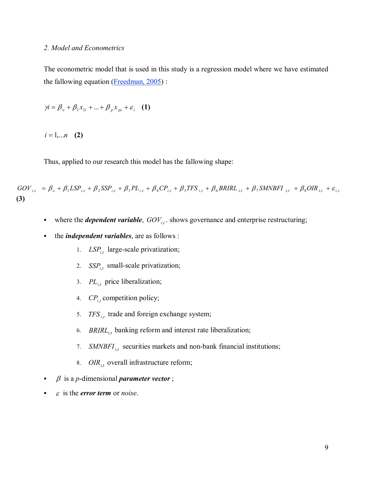#### *2. Model and Econometrics*

The econometric model that is used in this study is a regression model where we have estimated the fallowing equation (Freedman, 2005) :

$$
\gamma i = \beta_o + \beta_1 x_{1i} + \dots + \beta_p x_{pi} + \varepsilon_i \quad (1)
$$

 $i = 1,...n$  (2)

Thus, applied to our research this model has the fallowing shape:

 $GOV_{i,t} = \beta_o + \beta_1 LSP_{i,t} + \beta_2 SSP_{i,t} + \beta_3 PL_{i,t} + \beta_4 CP_{i,t} + \beta_5 TFS_{i,t} + \beta_6 BRIRL_{i,t} + \beta_7 SMNBFI_{i,t} + \beta_8 OIR_{i,t} + \varepsilon_{i,t}$ **(3)** 

- where the *dependent variable*,  $GOV_{i,t}$ , shows governance and enterprise restructuring;
- the *independent variables*, are as follows :
	- 1. *LSP*,*ti* large-scale privatization;
	- 2.  $SSP_{i,t}$  small-scale privatization;
	- 3. *PL*<sub>*i,t*</sub></sub> price liberalization;
	- 4.  $CP_{i,t}$  competition policy;
	- 5. *TFS*<sub>*i,t*</sub> trade and foreign exchange system;
	- 6. *BRIRL*<sub>i,t</sub> banking reform and interest rate liberalization;
	- 7. *SMNBFI*<sub>i,t</sub> securities markets and non-bank financial institutions;
	- 8. *OIR*<sub>it</sub> overall infrastructure reform;
- $\beta$  is a *p*-dimensional *parameter vector*;
- is the *error term* or *noise*.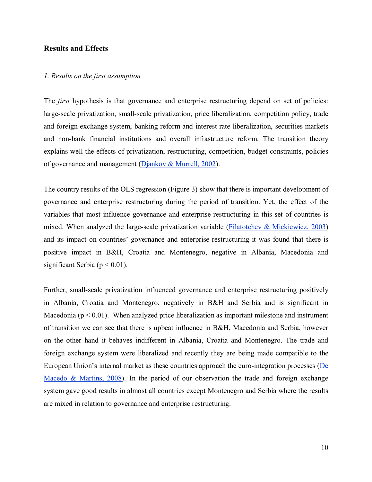### **Results and Effects**

#### *1. Results on the first assumption*

The *first* hypothesis is that governance and enterprise restructuring depend on set of policies: large-scale privatization, small-scale privatization, price liberalization, competition policy, trade and foreign exchange system, banking reform and interest rate liberalization, securities markets and non-bank financial institutions and overall infrastructure reform. The transition theory explains well the effects of privatization, restructuring, competition, budget constraints, policies of governance and management (Djankov & Murrell, 2002).

The country results of the OLS regression (Figure 3) show that there is important development of governance and enterprise restructuring during the period of transition. Yet, the effect of the variables that most influence governance and enterprise restructuring in this set of countries is mixed. When analyzed the large-scale privatization variable ( $\frac{Filatotchev \&\text{Mickiewicz}, 2003}{Filatotchev}$ ) and its impact on countries' governance and enterprise restructuring it was found that there is positive impact in B&H, Croatia and Montenegro, negative in Albania, Macedonia and significant Serbia ( $p < 0.01$ ).

Further, small-scale privatization influenced governance and enterprise restructuring positively in Albania, Croatia and Montenegro, negatively in B&H and Serbia and is significant in Macedonia ( $p < 0.01$ ). When analyzed price liberalization as important milestone and instrument of transition we can see that there is upbeat influence in B&H, Macedonia and Serbia, however on the other hand it behaves indifferent in Albania, Croatia and Montenegro. The trade and foreign exchange system were liberalized and recently they are being made compatible to the European Union's internal market as these countries approach the euro-integration processes (De Macedo & Martins, 2008). In the period of our observation the trade and foreign exchange system gave good results in almost all countries except Montenegro and Serbia where the results are mixed in relation to governance and enterprise restructuring.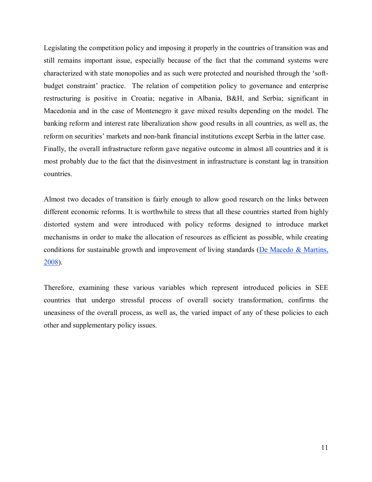Legislating the competition policy and imposing it properly in the countries of transition was and still remains important issue, especially because of the fact that the command systems were characterized with state monopolies and as such were protected and nourished through the 'softbudget constraint' practice. The relation of competition policy to governance and enterprise restructuring is positive in Croatia; negative in Albania, B&H, and Serbia; significant in Macedonia and in the case of Montenegro it gave mixed results depending on the model. The banking reform and interest rate liberalization show good results in all countries, as well as, the reform on securities' markets and non-bank financial institutions except Serbia in the latter case. Finally, the overall infrastructure reform gave negative outcome in almost all countries and it is most probably due to the fact that the disinvestment in infrastructure is constant lag in transition countries.

Almost two decades of transition is fairly enough to allow good research on the links between different economic reforms. It is worthwhile to stress that all these countries started from highly distorted system and were introduced with policy reforms designed to introduce market mechanisms in order to make the allocation of resources as efficient as possible, while creating conditions for sustainable growth and improvement of living standards ( $De Macedo & Martins$ , 2008).

Therefore, examining these various variables which represent introduced policies in SEE countries that undergo stressful process of overall society transformation, confirms the uneasiness of the overall process, as well as, the varied impact of any of these policies to each other and supplementary policy issues.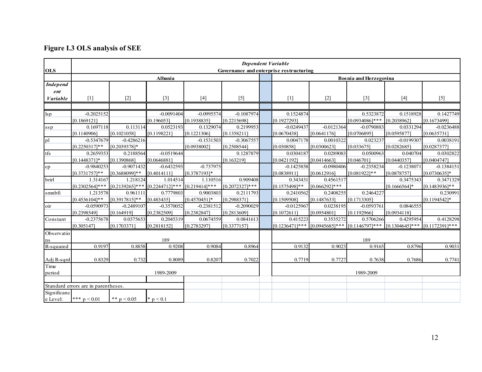# **Figure I.3 OLS analysis of SEE**

|                        |                                     |                   |                |                  |                  | <b>Dependent Variable</b>               |                                   |                               |                                     |                  |
|------------------------|-------------------------------------|-------------------|----------------|------------------|------------------|-----------------------------------------|-----------------------------------|-------------------------------|-------------------------------------|------------------|
| <b>OLS</b>             |                                     |                   |                |                  |                  | Governance and enterprise restructuring |                                   |                               |                                     |                  |
|                        |                                     |                   | Albania        |                  |                  |                                         |                                   | <b>Bosnia and Herzegovina</b> |                                     |                  |
| <b>Independ</b>        |                                     |                   |                |                  |                  |                                         |                                   |                               |                                     |                  |
| ent                    |                                     |                   |                |                  |                  |                                         |                                   |                               |                                     |                  |
| <b><i>Variable</i></b> | $[1]$                               | $[2]$             | $[3]$          | $[4]$            | $[5]$            | $[1]$                                   | $[2]$                             | $[3]$                         | $[4]$                               | $[5]$            |
|                        |                                     |                   |                |                  |                  |                                         |                                   |                               |                                     |                  |
| $\log p$               | $-0.2025152$                        |                   | $-0.0091404$   | $-0.0995574$     | $-0.1087974$     | 0.1524874                               |                                   | 0.5323872                     | 0.1518928                           | 0.1427749        |
|                        | [0.1869121]                         |                   | [0.196053]     | [0.1938835]      | [0.2215698]      | [0.1927293]                             |                                   | $[0.0934086]$ ***             | [0.2038962]                         | [0.1673499]      |
| ssp                    | 0.1697118                           | 0.113114          | 0.0523193      | 0.1329074        | 0.2199953        | $-0.0249437$                            | $-0.0121364$                      | $-0.0790883$                  | 0.0331294                           | $-0.0236488$     |
|                        | [0.1140906]                         | [0.1021058]       | [0.1198221]    | [0.1221306]      | [0.1358211]      | [0.0670438]                             | [0.0641176]                       | [0.0706895]                   | [0.0595877]                         | [0.0635731]      |
| pl                     | $-0.5347679$                        | $-0.4286216$      |                | $-0.1531503$     | $-0.3067557$     | 0.0047178                               | 0.0010322                         | 0.023237                      | $-0.0199307$                        | 0.0038191        |
|                        | $[0.2250317]**$                     | $[0.2039378]*$    |                | [0.0938002]      | [0.2508544]      | [0.030858]                              | [0.0300623]                       | [0.033675]                    | [0.0282685]                         | [0.0287377]      |
| tfs                    | 0.2659353                           | 0.2188564         | $-0.0519644$   |                  | 0.1287879        | 0.0304187                               | 0.0289083                         | 0.0500963                     | 0.040704                            | 0.0302822        |
|                        | [0.14483711*                        | [0.1390868]       | [0.0646881]    |                  | [0.163219]       | [0.0421192]                             | [0.0414663]                       | [0.046701]                    | [0.0440357]                         | [0.0404747]      |
| cp                     | $-0.9840253$                        | $-0.9071432$      | $-0.6432593$   | $-0.737975$      |                  | $-0.1425858$                            | $-0.0980406$                      | $-0.2358234$                  | $-0.1238071$                        | $-0.1384151$     |
|                        | $[0.3731757]**$                     | $[0.3688099]$ **  | [0.4014111]    | [0.3787193]*     |                  | [0.0838911]                             | [0.0612916]                       | $[0.081922]$ **               | [0.0878757]                         | [0.0730635]*     |
| brirl                  | 1.314167                            | 1.218124          | 1.014514       | 1.110516         | 0.909408         | 0.343431                                | 0.4561517                         |                               | 0.3475343                           | 0.3471329        |
|                        | $[0.2302564]$ ***                   | $[0.2139265]$ *** | [0.2244712]*** | $[0.219414]$ *** | $[0.2072327]***$ | [0.1575498]**                           | $[0.066292]***$                   |                               | $[0.1666564]$ *                     | $[0.1483936]$ ** |
| smnbfi                 | 1.213578                            | 0.961111          | 0.7779803      | 0.9003803        | 0.2111793        | 0.2410562                               | 0.2408255                         | 0.2464227                     |                                     | 0.230991         |
|                        | $[0.4536104]$ **                    | [0.3917815]**     | [0.483435]     | [0.4570451]*     | [0.2988371]      | [0.1509508]                             | [0.1487633]                       | [0.1713305]                   |                                     | $[0.1194542]$ *  |
| oir                    | $-0.0590973$                        | $-0.2489107$      | $-0.3570052$   | $-0.2381512$     | $-0.2090029$     | $-0.0125967$                            | 0.0238195                         | $-0.0593761$                  | 0.0846555                           |                  |
|                        | [0.2398549]                         | [0.164919]        | [0.2382509]    | [0.2382847]      | [0.2813609]      | [0.1072611]                             | [0.0954801]                       | [0.1192966]                   | [0.0934118]                         |                  |
| Constant               | $-0.2375678$                        | 0.0375653         | 0.2045319      | 0.0674559        | 0.0841613        | 0.415223                                | 0.3535272                         | 0.5706266                     | 0.4295954                           | 0.4128298        |
|                        | [0.305147]                          | [0.1703371]       | [0.2818152]    | [0.2783297]      | [0.3377157]      | $[0.1236471]***$                        | $[0.0945685]***$ $[0.1146797]***$ |                               | $[0.1304645]$ *** $[0.1172391]$ *** |                  |
| Observatio             |                                     |                   |                |                  |                  |                                         |                                   |                               |                                     |                  |
| ns                     |                                     |                   | 189            |                  |                  |                                         |                                   | 189                           |                                     |                  |
| R-squared              | 0.9197                              | 0.8858            | 0.9208         | 0.9084           | 0.8964           | 0.9132                                  | 0.9023                            | 0.9165                        | 0.8796                              | 0.9031           |
|                        |                                     |                   |                |                  |                  |                                         |                                   |                               |                                     |                  |
| Adj R-sqrd             | 0.8329                              | 0.732             | 0.8089         | 0.8207           | 0.7022           | 0.7719                                  | 0.7727                            | 0.7638                        | 0.7686                              | 0.7741           |
| Time                   |                                     |                   |                |                  |                  |                                         |                                   |                               |                                     |                  |
| period                 |                                     |                   | 1989-2009      |                  |                  |                                         |                                   | 1989-2009                     |                                     |                  |
|                        |                                     |                   |                |                  |                  |                                         |                                   |                               |                                     |                  |
|                        | Standard errors are in parentheses. |                   |                |                  |                  |                                         |                                   |                               |                                     |                  |
| Significanc            |                                     |                   |                |                  |                  |                                         |                                   |                               |                                     |                  |
| e Level:               | *** $p < 0.01$                      | ** $p < 0.05$     | * $p < 0.1$    |                  |                  |                                         |                                   |                               |                                     |                  |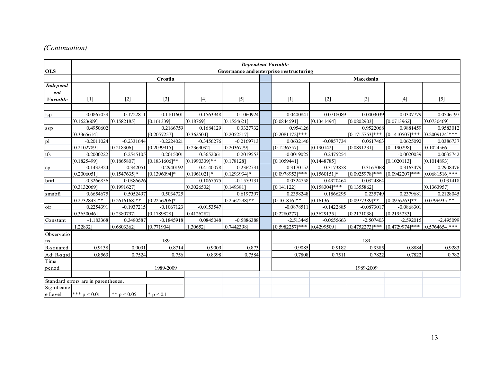# *(Continuation)*

| <b>OLS</b>                                | <b>Dependent Variable</b><br>Governance and enterprise restructuring |                              |                               |                              |                               |  |                                 |                               |                                 |                                                  |                              |  |
|-------------------------------------------|----------------------------------------------------------------------|------------------------------|-------------------------------|------------------------------|-------------------------------|--|---------------------------------|-------------------------------|---------------------------------|--------------------------------------------------|------------------------------|--|
|                                           |                                                                      |                              | Croatia                       |                              |                               |  | Macedonia                       |                               |                                 |                                                  |                              |  |
| <b>Independ</b><br>ent<br><b>Variable</b> | $[1]$                                                                | $[2]$                        | $[3]$                         | $[4]$                        | $[5]$                         |  | $[1]$                           | $[2]$                         | $[3]$                           | $[4]$                                            | $[5]$                        |  |
|                                           |                                                                      |                              |                               |                              |                               |  |                                 |                               |                                 |                                                  |                              |  |
| $\log p$                                  | 0.0867059<br>[0.1623609]                                             | 0.1722811<br>[0.1582185]     | 0.1101601<br>[0.161339]       | 0.1563948<br>[0.18769]       | 0.1060924<br>[0.1554621]      |  | $-0.0400841$<br>[0.0844591]     | $-0.0718089$<br>[0.1341494]   | $-0.0403039$<br>[0.0802903]     | $-0.0307779$<br>[0.0713962]                      | $-0.0546197$<br>[0.0730469]  |  |
| ssp                                       | 0.4950602<br>[0.3365614]                                             |                              | 0.2166759<br>[0.2057257]      | 0.1684129<br>[0.362504]      | 0.3327732<br>[0.2052517]      |  | 0.954126<br>$[0.2081172]***$    |                               | 0.9522068<br>$[0.1715753]***$   | 0.9881459<br>$[0.1410507]***$ $[0.2009124]***$   | 0.9583012                    |  |
| pl                                        | $-0.2011024$<br>[0.2102789]                                          | $-0.2331644$<br>[0.218306]   | $-0.2224021$<br>[0.2099915]   | $-0.3456276$<br>[0.2369092]  | $-0.2169713$<br>[0.2036779]   |  | 0.0632146<br>[0.1236557]        | $-0.0857734$<br>[0.190142]    | 0.0617463<br>[0.0891231]        | 0.0625092<br>[0.1190298]                         | 0.0386737<br>[0.1024566]     |  |
| tfs                                       | 0.2000222<br>[0.1825499]                                             | 0.2545105<br>[0.1865807]     | 0.2015001<br>$[0.1831606]$ ** | 0.3652061<br>$[0.1990339]**$ | 0.2019553<br>[0.178128]       |  | $-0.0019025$<br>[0.1059441]     | 0.2475254<br>[0.1448785]      |                                 | $-0.0020039$<br>[0.1020113]                      | 0.0035742<br>[0.1014893]     |  |
| cp                                        | 0.1432924<br>[0.2006051]                                             | 0.342051<br>$[0.1547635]$ *  | 0.2940192<br>$[0.1396094]$ *  | 0.4140078<br>$[0.1961021]$ * | 0.2362731<br>$[0.1293934]*$   |  | 0.3170152<br>$[0.0978953]***$   | 0.3173858<br>$[0.1560151]$ *  | 0.3167068<br>$[0.0925978]***$   | 0.3163479<br>$[0.0942207]***$ $[0.0681516]***$   | 0.2908476                    |  |
| brirl                                     | $-0.3266856$<br>[0.3132069]                                          | 0.0386626<br>[0.1991627]     |                               | 0.1067575<br>[0.3026532]     | $-0.1579131$<br>[0.149381]    |  | 0.0324758<br>[0.141122]         | 0.4920464<br>$[0.158304]$ *** | 0.0324864<br>[0.1355862]        |                                                  | 0.031418<br>[0.1363957]      |  |
| smnbfi                                    | 0.6654675<br>$[0.2732843]**$                                         | 0.5052497<br>$[0.2616168]**$ | 0.5034725<br>$[0.2256206]$ *  |                              | 0.6197397<br>$[0.2567298]$ ** |  | 0.2358248<br>$[0.101816]$ **    | 0.1866295<br>[0.16136]        | 0.235749<br>$[0.0977389]$ **    | 0.2379681<br>$[0.0976263]**$                     | 0.2128045<br>$[0.0796935]**$ |  |
| oir                                       | 0.2254391<br>[0.3650046]                                             | $-0.1937215$<br>[0.2380797]  | $-0.1067123$<br>[0.1789828]   | $-0.0153547$<br>[0.4126282]  |                               |  | $-0.0878511$<br>[0.2280277]     | $-0.1422885$<br>[0.3629135]   | $-0.0873017$<br>[0.2171038]     | $-0.0868301$<br>[0.2195233]                      |                              |  |
| Constant                                  | $-1.183368$<br>[1.22832]                                             | 0.3480587<br>[0.6803362]     | $-0.1845918$<br>[0.771904]    | 0.0845048<br>[1.30652]       | $-0.5886388$<br>[0.7442398]   |  | $-2.513445$<br>$[0.5982257]***$ | $-0.0655663$<br>[0.4299509]   | $-2.507403$<br>$[0.4752273]***$ | $-2.592015$<br>$[0.4729974]***$ $[0.5764654]***$ | $-2.495099$                  |  |
| Observatio<br>ns                          |                                                                      |                              | 189                           |                              |                               |  | 189                             |                               |                                 |                                                  |                              |  |
| R-squared                                 | 0.9138                                                               | 0.9091                       | 0.8714                        | 0.9009                       | 0.873                         |  | 0.9085                          | 0.9182                        | 0.9385                          | 0.8884                                           | 0.9283                       |  |
| Adj R-sqrd                                | 0.8563                                                               | 0.7524                       | 0.756                         | 0.8398                       | 0.7584                        |  | 0.7808                          | 0.7511                        | 0.7822                          | 0.7822                                           | 0.782                        |  |
| Time<br>period                            | 1989-2009                                                            |                              |                               |                              |                               |  |                                 |                               | 1989-2009                       |                                                  |                              |  |
|                                           |                                                                      |                              |                               |                              |                               |  |                                 |                               |                                 |                                                  |                              |  |
| Significanc<br>e Level:                   | Standard errors are in parentheses.<br>*** $p \le 0.01$              | ** $p < 0.05$                | * $p < 0.1$                   |                              |                               |  |                                 |                               |                                 |                                                  |                              |  |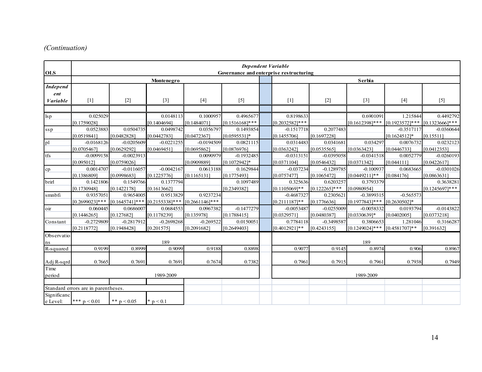# *(Continuation)*

| <b>OLS</b>                         |                                     |                             |                                                                    |                             |                                 |  | <b>Dependent Variable</b><br>Governance and enterprise restructuring |                               |                                                   |                                                 |                                |
|------------------------------------|-------------------------------------|-----------------------------|--------------------------------------------------------------------|-----------------------------|---------------------------------|--|----------------------------------------------------------------------|-------------------------------|---------------------------------------------------|-------------------------------------------------|--------------------------------|
|                                    |                                     |                             | Montenegro                                                         |                             |                                 |  |                                                                      |                               | Serbia                                            |                                                 |                                |
| <b>Independ</b><br>ent<br>Variable | $[1]$                               | $[2]$                       | $[3]$                                                              | $[4]$                       | $[5]$                           |  | $[1]$                                                                | $[2]$                         | $[3]$                                             | $[4]$                                           | $[5]$                          |
|                                    |                                     |                             |                                                                    |                             |                                 |  |                                                                      |                               |                                                   |                                                 |                                |
| $\log p$                           | 0.025029<br>[0.1759028]             |                             | 0.0148113<br>[0.1404694]                                           | 0.1000957<br>[0.1484071]    | 0.4965677<br>$[0.1516168]***$   |  | 0.8198633<br>$[0.2032582]***$                                        |                               | 0.6901091<br>$[0.1612398]$ ***                    | 1.215844<br>$[0.1923572]$ *** $[0.1323666]$ *** | 0.4492792                      |
| ssp                                | 0.0523883<br>[0.0519841]            | 0.0504735<br>[0.0482828]    | 0.0498742<br>[0.0442783]                                           | 0.0356797<br>[0.0472367]    | 0.1493854<br>$[0.0595531]*$     |  | $-0.1517718$<br>[0.1455706]                                          | 0.2077483<br>[0.1697228]      |                                                   | $-0.3517117$<br>$[0.1624512]*$                  | $-0.0360644$<br>[0.15511]      |
| pl                                 | $-0.0168126$<br>[0.0705467]         | $-0.0205609$<br>[0.0629292] | $-0.0221255$<br>[0.0469451]                                        | $-0.0194509$<br>[0.0695862] | 0.0821115<br>[0.0876976]        |  | 0.0314483<br>[0.0363242]                                             | 0.0341681<br>[0.0535565]      | 0.034297<br>[0.0363423]                           | 0.0076732<br>[0.0446733]                        | 0.0232123<br>[0.0412353]       |
| tfs                                | $-0.0099158$<br>[0.095012]          | $-0.0023913$<br>[0.0759026] |                                                                    | 0.0090979<br>[0.0909889]    | $-0.1932485$<br>$[0.1072942]$ * |  | $-0.0313151$<br>[0.0371104]                                          | $-0.0395058$<br>[0.0546432]   | $-0.0341518$<br>[0.0371342]                       | 0.0052779<br>[0.044111]                         | $-0.0260193$<br>[0.0422617]    |
| cp                                 | 0.0014707<br>[0.1386809]            | $-0.0116057$<br>[0.0998683] | $-0.0042167$<br>[0.1225776]                                        | 0.0613188<br>[0.1165131]    | 0.1629844<br>[0.1775493]        |  | $-0.037234$<br>[0.0757477]                                           | $-0.1289785$<br>[0.1065472]   | $-0.100937$<br>$[0.0449211]**$                    | 0.0683665<br>[0.084176]                         | $-0.0301026$<br>[0.0863631]    |
| brirl                              | 0.1421806<br>[0.1730948]            | 0.1549766<br>[0.1422178]    | 0.1377794<br>[0.1613662]                                           |                             | 0.1097489<br>[0.2349382]        |  | 0.325636<br>$[0.1105069]**$                                          | 0.6203257<br>$[0.122265]$ *** | 0.3793379<br>[0.0980954]                          |                                                 | 0.3638281<br>$[0.1245697]$ *** |
| smnbfi                             | 0.9357051<br>$[0.2699023]$ ***      | 0.9654005                   | 0.9513829<br>$[0.1645741]$ *** $[0.2155338]$ *** $[0.2661146]$ *** | 0.9237234                   |                                 |  | $-0.4687327$<br>$[0.2111187]**$                                      | 0.2305621<br>[0.1776636]      | $-0.3899315$<br>$[0.1977843]$ *** $[0.2630502]$ * | $-0.565573$                                     |                                |
| oir                                | 0.060445<br>[0.1446265]             | 0.0686007<br>[0.127682]     | 0.0684553<br>[0.1178239]                                           | 0.0967382<br>[0.135978]     | $-0.1477279$<br>[0.1788415]     |  | $-0.0053487$<br>[0.0329571]                                          | $-0.0255009$<br>[0.0480387]   | $-0.0058332$<br>$[0.0330639]$ *                   | 0.0193794<br>[0.0402005]                        | $-0.0143822$<br>[0.0373218]    |
| Constant                           | $-0.2729809$<br>[0.2118772]         | $-0.2817912$<br>[0.1948428] | $-0.2698268$<br>[0.201575]                                         | $-0.269522$<br>[0.2091682]  | 0.0150051<br>[0.2649403]        |  | 0.7784118<br>$[0.4012921]**$                                         | $-0.3498587$<br>[0.4243155]   | 0.3806653<br>$[0.1249024]$ *** $[0.4581707]$ **   | 1.281046                                        | 0.3166287<br>[0.391632]        |
| Observatio<br>ns                   |                                     |                             | 189                                                                |                             |                                 |  |                                                                      |                               | 189                                               |                                                 |                                |
| R-squared                          | 0.9199                              | 0.8999                      | 0.9099                                                             | 0.9188                      | 0.8898                          |  | 0.9077                                                               | 0.9145                        | 0.8974                                            | 0.906                                           | 0.8967                         |
| Adj R-sqrd                         | 0.7665                              | 0.7691                      | 0.7691                                                             | 0.7674                      | 0.7382                          |  | 0.7961                                                               | 0.7915                        | 0.7961                                            | 0.7938                                          | 0.7949                         |
| Time<br>period                     | 1989-2009                           |                             |                                                                    |                             |                                 |  |                                                                      |                               | 1989-2009                                         |                                                 |                                |
|                                    | Standard errors are in parentheses. |                             |                                                                    |                             |                                 |  |                                                                      |                               |                                                   |                                                 |                                |
| Significanc<br>e Level:            | *** $p < 0.01$                      | ** $p \le 0.05$             | * $p < 0.1$                                                        |                             |                                 |  |                                                                      |                               |                                                   |                                                 |                                |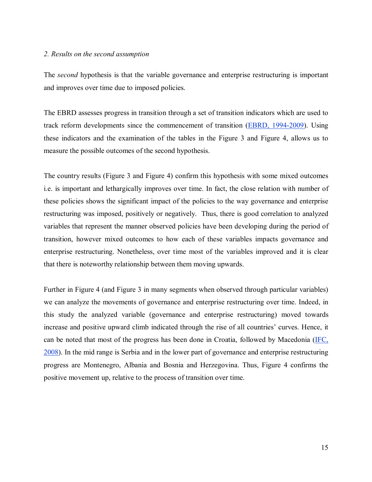### *2. Results on the second assumption*

The *second* hypothesis is that the variable governance and enterprise restructuring is important and improves over time due to imposed policies.

The EBRD assesses progress in transition through a set of transition indicators which are used to track reform developments since the commencement of transition (EBRD, 1994-2009). Using these indicators and the examination of the tables in the Figure 3 and Figure 4, allows us to measure the possible outcomes of the second hypothesis.

The country results (Figure 3 and Figure 4) confirm this hypothesis with some mixed outcomes i.e. is important and lethargically improves over time. In fact, the close relation with number of these policies shows the significant impact of the policies to the way governance and enterprise restructuring was imposed, positively or negatively. Thus, there is good correlation to analyzed variables that represent the manner observed policies have been developing during the period of transition, however mixed outcomes to how each of these variables impacts governance and enterprise restructuring. Nonetheless, over time most of the variables improved and it is clear that there is noteworthy relationship between them moving upwards.

Further in Figure 4 (and Figure 3 in many segments when observed through particular variables) we can analyze the movements of governance and enterprise restructuring over time. Indeed, in this study the analyzed variable (governance and enterprise restructuring) moved towards increase and positive upward climb indicated through the rise of all countries' curves. Hence, it can be noted that most of the progress has been done in Croatia, followed by Macedonia (IFC, 2008). In the mid range is Serbia and in the lower part of governance and enterprise restructuring progress are Montenegro, Albania and Bosnia and Herzegovina. Thus, Figure 4 confirms the positive movement up, relative to the process of transition over time.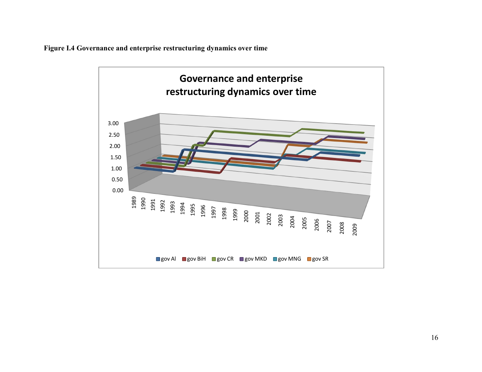**Figure I.4 Governance and enterprise restructuring dynamics over time**

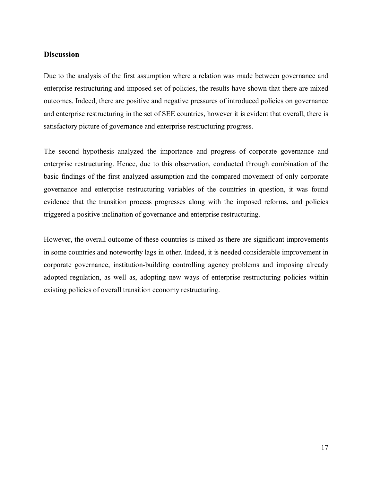### **Discussion**

Due to the analysis of the first assumption where a relation was made between governance and enterprise restructuring and imposed set of policies, the results have shown that there are mixed outcomes. Indeed, there are positive and negative pressures of introduced policies on governance and enterprise restructuring in the set of SEE countries, however it is evident that overall, there is satisfactory picture of governance and enterprise restructuring progress.

The second hypothesis analyzed the importance and progress of corporate governance and enterprise restructuring. Hence, due to this observation, conducted through combination of the basic findings of the first analyzed assumption and the compared movement of only corporate governance and enterprise restructuring variables of the countries in question, it was found evidence that the transition process progresses along with the imposed reforms, and policies triggered a positive inclination of governance and enterprise restructuring.

However, the overall outcome of these countries is mixed as there are significant improvements in some countries and noteworthy lags in other. Indeed, it is needed considerable improvement in corporate governance, institution-building controlling agency problems and imposing already adopted regulation, as well as, adopting new ways of enterprise restructuring policies within existing policies of overall transition economy restructuring.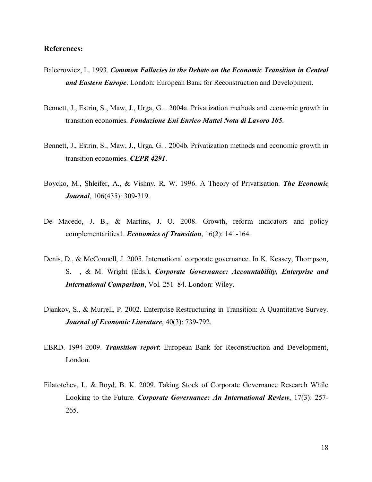### **References:**

- Balcerowicz, L. 1993. *Common Fallacies in the Debate on the Economic Transition in Central and Eastern Europe*. London: European Bank for Reconstruction and Development.
- Bennett, J., Estrin, S., Maw, J., Urga, G. . 2004a. Privatization methods and economic growth in transition economies. *Fondazione Eni Enrico Mattei Nota di Lavoro 105*.
- Bennett, J., Estrin, S., Maw, J., Urga, G. . 2004b. Privatization methods and economic growth in transition economies. *CEPR 4291*.
- Boycko, M., Shleifer, A., & Vishny, R. W. 1996. A Theory of Privatisation. *The Economic Journal*, 106(435): 309-319.
- De Macedo, J. B., & Martins, J. O. 2008. Growth, reform indicators and policy complementarities1. *Economics of Transition*, 16(2): 141-164.
- Denis, D., & McConnell, J. 2005. International corporate governance. In K. Keasey, Thompson, S. , & M. Wright (Eds.), *Corporate Governance: Accountability, Enterprise and International Comparison*, Vol. 251–84. London: Wiley.
- Djankov, S., & Murrell, P. 2002. Enterprise Restructuring in Transition: A Quantitative Survey. *Journal of Economic Literature*, 40(3): 739-792.
- EBRD. 1994-2009. *Transition report*: European Bank for Reconstruction and Development, London.
- Filatotchev, I., & Boyd, B. K. 2009. Taking Stock of Corporate Governance Research While Looking to the Future. *Corporate Governance: An International Review*, 17(3): 257- 265.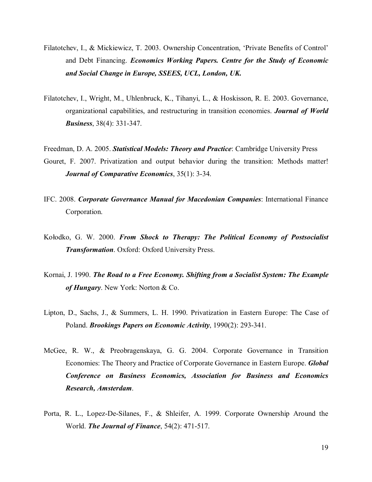- Filatotchev, I., & Mickiewicz, T. 2003. Ownership Concentration, 'Private Benefits of Control' and Debt Financing. *Economics Working Papers. Centre for the Study of Economic and Social Change in Europe, SSEES, UCL, London, UK.*
- Filatotchev, I., Wright, M., Uhlenbruck, K., Tihanyi, L., & Hoskisson, R. E. 2003. Governance, organizational capabilities, and restructuring in transition economies. *Journal of World Business*, 38(4): 331-347.
- Freedman, D. A. 2005. *Statistical Models: Theory and Practice*: Cambridge University Press Gouret, F. 2007. Privatization and output behavior during the transition: Methods matter! *Journal of Comparative Economics*, 35(1): 3-34.
- IFC. 2008. *Corporate Governance Manual for Macedonian Companies*: International Finance Corporation.
- Kołodko, G. W. 2000. *From Shock to Therapy: The Political Economy of Postsocialist Transformation*. Oxford: Oxford University Press.
- Kornai, J. 1990. *The Road to a Free Economy. Shifting from a Socialist System: The Example of Hungary*. New York: Norton & Co.
- Lipton, D., Sachs, J., & Summers, L. H. 1990. Privatization in Eastern Europe: The Case of Poland. *Brookings Papers on Economic Activity*, 1990(2): 293-341.
- McGee, R. W., & Preobragenskaya, G. G. 2004. Corporate Governance in Transition Economies: The Theory and Practice of Corporate Governance in Eastern Europe. *Global Conference on Business Economics, Association for Business and Economics Research, Amsterdam*.
- Porta, R. L., Lopez-De-Silanes, F., & Shleifer, A. 1999. Corporate Ownership Around the World. *The Journal of Finance*, 54(2): 471-517.